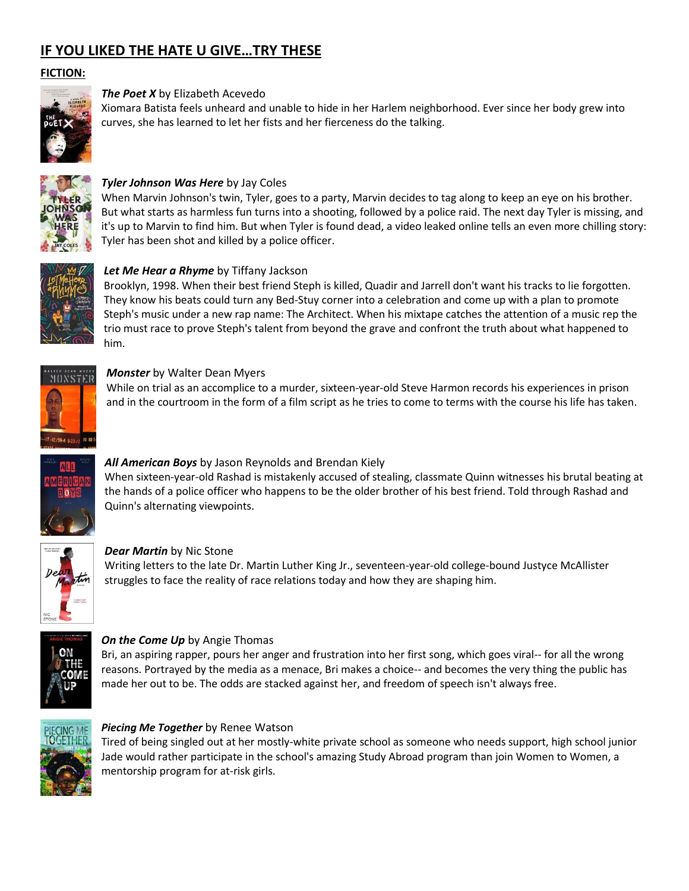# **IF YOU LIKED THE HATE U GIVE…TRY THESE**

#### **FICTION:**



#### *The Poet X* by Elizabeth Acevedo

Xiomara Batista feels unheard and unable to hide in her Harlem neighborhood. Ever since her body grew into curves, she has learned to let her fists and her fierceness do the talking.



## *Tyler Johnson Was Here* by Jay Coles

When Marvin Johnson's twin, Tyler, goes to a party, Marvin decides to tag along to keep an eye on his brother. But what starts as harmless fun turns into a shooting, followed by a police raid. The next day Tyler is missing, and it's up to Marvin to find him. But when Tyler is found dead, a video leaked online tells an even more chilling story: Tyler has been shot and killed by a police officer.



## *Let Me Hear a Rhyme* by Tiffany Jackson

Brooklyn, 1998. When their best friend Steph is killed, Quadir and Jarrell don't want his tracks to lie forgotten. They know his beats could turn any Bed-Stuy corner into a celebration and come up with a plan to promote Steph's music under a new rap name: The Architect. When his mixtape catches the attention of a music rep the trio must race to prove Steph's talent from beyond the grave and confront the truth about what happened to him.



#### *Monster* by Walter Dean Myers

While on trial as an accomplice to a murder, sixteen-year-old Steve Harmon records his experiences in prison and in the courtroom in the form of a film script as he tries to come to terms with the course his life has taken.



#### *All American Boys* by Jason Reynolds and Brendan Kiely

When sixteen-year-old Rashad is mistakenly accused of stealing, classmate Quinn witnesses his brutal beating at the hands of a police officer who happens to be the older brother of his best friend. Told through Rashad and Quinn's alternating viewpoints.



#### *Dear Martin* by Nic Stone

Writing letters to the late Dr. Martin Luther King Jr., seventeen-year-old college-bound Justyce McAllister struggles to face the reality of race relations today and how they are shaping him.



# *On the Come Up* by Angie Thomas

Bri, an aspiring rapper, pours her anger and frustration into her first song, which goes viral-- for all the wrong reasons. Portrayed by the media as a menace, Bri makes a choice-- and becomes the very thing the public has made her out to be. The odds are stacked against her, and freedom of speech isn't always free.



#### *Piecing Me Together* by Renee Watson

Tired of being singled out at her mostly-white private school as someone who needs support, high school junior Jade would rather participate in the school's amazing Study Abroad program than join Women to Women, a mentorship program for at-risk girls.